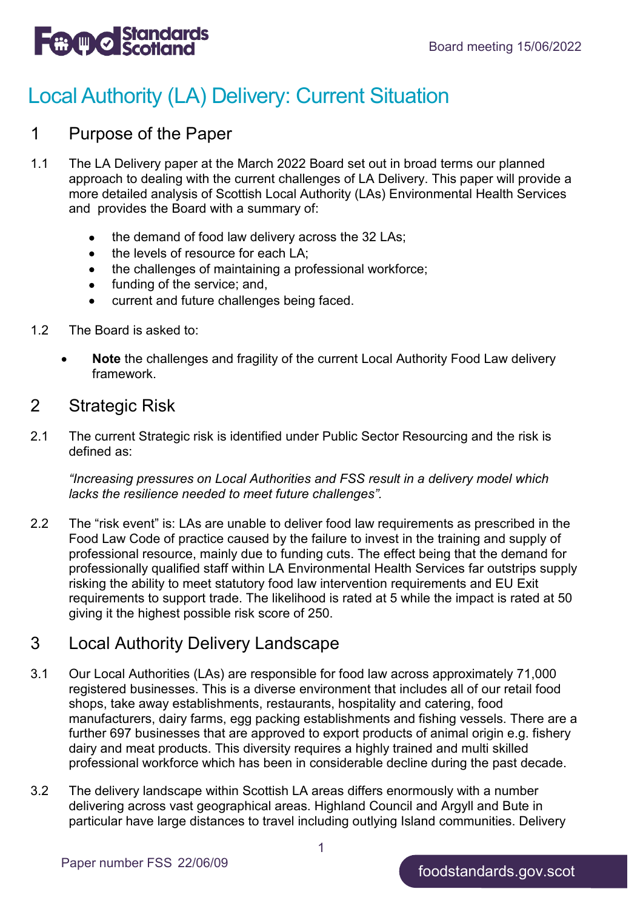

# Local Authority (LA) Delivery: Current Situation

### 1 Purpose of the Paper

- 1.1 The LA Delivery paper at the March 2022 Board set out in broad terms our planned approach to dealing with the current challenges of LA Delivery. This paper will provide a more detailed analysis of Scottish Local Authority (LAs) Environmental Health Services and provides the Board with a summary of:
	- the demand of food law delivery across the 32 LAs;
	- the levels of resource for each LA;
	- the challenges of maintaining a professional workforce;
	- funding of the service; and,
	- current and future challenges being faced.
- 1.2 The Board is asked to:
	- **Note** the challenges and fragility of the current Local Authority Food Law delivery framework.

### 2 Strategic Risk

2.1 The current Strategic risk is identified under Public Sector Resourcing and the risk is defined as:

*"Increasing pressures on Local Authorities and FSS result in a delivery model which lacks the resilience needed to meet future challenges".*

2.2 The "risk event" is: LAs are unable to deliver food law requirements as prescribed in the Food Law Code of practice caused by the failure to invest in the training and supply of professional resource, mainly due to funding cuts. The effect being that the demand for professionally qualified staff within LA Environmental Health Services far outstrips supply risking the ability to meet statutory food law intervention requirements and EU Exit requirements to support trade. The likelihood is rated at 5 while the impact is rated at 50 giving it the highest possible risk score of 250.

### 3 Local Authority Delivery Landscape

- 3.1 Our Local Authorities (LAs) are responsible for food law across approximately 71,000 registered businesses. This is a diverse environment that includes all of our retail food shops, take away establishments, restaurants, hospitality and catering, food manufacturers, dairy farms, egg packing establishments and fishing vessels. There are a further 697 businesses that are approved to export products of animal origin e.g. fishery dairy and meat products. This diversity requires a highly trained and multi skilled professional workforce which has been in considerable decline during the past decade.
- 3.2 The delivery landscape within Scottish LA areas differs enormously with a number delivering across vast geographical areas. Highland Council and Argyll and Bute in particular have large distances to travel including outlying Island communities. Delivery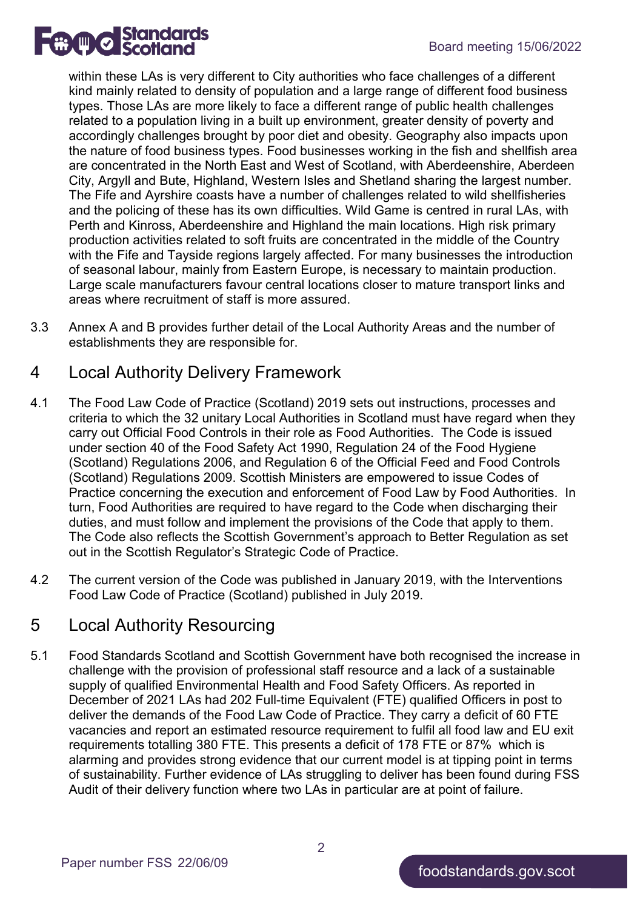

within these LAs is very different to City authorities who face challenges of a different kind mainly related to density of population and a large range of different food business types. Those LAs are more likely to face a different range of public health challenges related to a population living in a built up environment, greater density of poverty and accordingly challenges brought by poor diet and obesity. Geography also impacts upon the nature of food business types. Food businesses working in the fish and shellfish area are concentrated in the North East and West of Scotland, with Aberdeenshire, Aberdeen City, Argyll and Bute, Highland, Western Isles and Shetland sharing the largest number. The Fife and Ayrshire coasts have a number of challenges related to wild shellfisheries and the policing of these has its own difficulties. Wild Game is centred in rural LAs, with Perth and Kinross, Aberdeenshire and Highland the main locations. High risk primary production activities related to soft fruits are concentrated in the middle of the Country with the Fife and Tayside regions largely affected. For many businesses the introduction of seasonal labour, mainly from Eastern Europe, is necessary to maintain production. Large scale manufacturers favour central locations closer to mature transport links and areas where recruitment of staff is more assured.

3.3 Annex A and B provides further detail of the Local Authority Areas and the number of establishments they are responsible for.

# 4 Local Authority Delivery Framework

- 4.1 The Food Law Code of Practice (Scotland) 2019 sets out instructions, processes and criteria to which the 32 unitary Local Authorities in Scotland must have regard when they carry out Official Food Controls in their role as Food Authorities. The Code is issued under section 40 of the Food Safety Act 1990, Regulation 24 of the Food Hygiene (Scotland) Regulations 2006, and Regulation 6 of the Official Feed and Food Controls (Scotland) Regulations 2009. Scottish Ministers are empowered to issue Codes of Practice concerning the execution and enforcement of Food Law by Food Authorities. In turn, Food Authorities are required to have regard to the Code when discharging their duties, and must follow and implement the provisions of the Code that apply to them. The Code also reflects the Scottish Government's approach to Better Regulation as set out in the Scottish Regulator's Strategic Code of Practice.
- 4.2 The current version of the Code was published in January 2019, with the Interventions Food Law Code of Practice (Scotland) published in July 2019.

### 5 Local Authority Resourcing

5.1 Food Standards Scotland and Scottish Government have both recognised the increase in challenge with the provision of professional staff resource and a lack of a sustainable supply of qualified Environmental Health and Food Safety Officers. As reported in December of 2021 LAs had 202 Full-time Equivalent (FTE) qualified Officers in post to deliver the demands of the Food Law Code of Practice. They carry a deficit of 60 FTE vacancies and report an estimated resource requirement to fulfil all food law and EU exit requirements totalling 380 FTE. This presents a deficit of 178 FTE or 87% which is alarming and provides strong evidence that our current model is at tipping point in terms of sustainability. Further evidence of LAs struggling to deliver has been found during FSS Audit of their delivery function where two LAs in particular are at point of failure.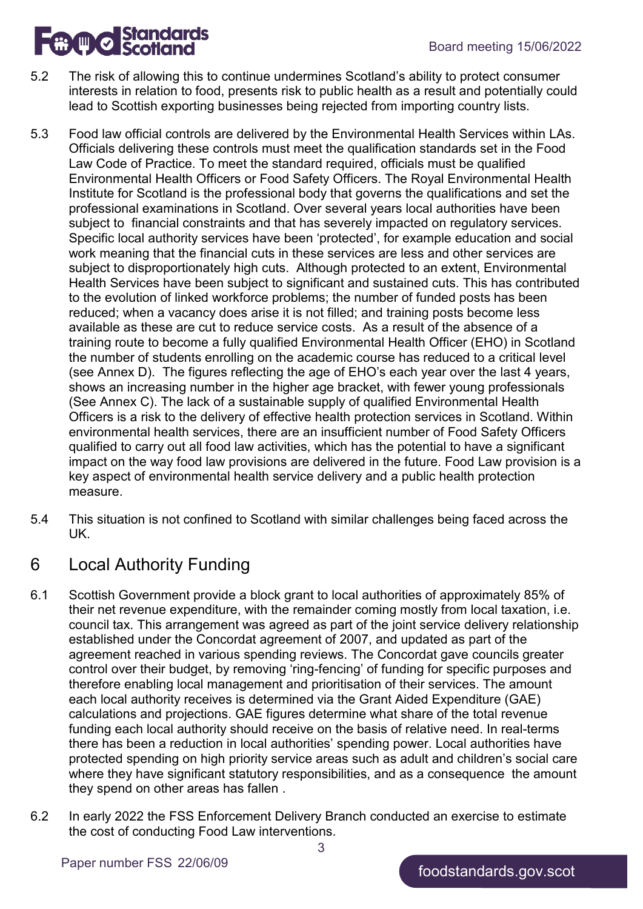

- 5.2 The risk of allowing this to continue undermines Scotland's ability to protect consumer interests in relation to food, presents risk to public health as a result and potentially could lead to Scottish exporting businesses being rejected from importing country lists.
- 5.3 Food law official controls are delivered by the Environmental Health Services within LAs. Officials delivering these controls must meet the qualification standards set in the Food Law Code of Practice. To meet the standard required, officials must be qualified Environmental Health Officers or Food Safety Officers. The Royal Environmental Health Institute for Scotland is the professional body that governs the qualifications and set the professional examinations in Scotland. Over several years local authorities have been subject to financial constraints and that has severely impacted on regulatory services. Specific local authority services have been 'protected', for example education and social work meaning that the financial cuts in these services are less and other services are subject to disproportionately high cuts. Although protected to an extent, Environmental Health Services have been subject to significant and sustained cuts. This has contributed to the evolution of linked workforce problems; the number of funded posts has been reduced; when a vacancy does arise it is not filled; and training posts become less available as these are cut to reduce service costs. As a result of the absence of a training route to become a fully qualified Environmental Health Officer (EHO) in Scotland the number of students enrolling on the academic course has reduced to a critical level (see Annex D). The figures reflecting the age of EHO's each year over the last 4 years, shows an increasing number in the higher age bracket, with fewer young professionals (See Annex C). The lack of a sustainable supply of qualified Environmental Health Officers is a risk to the delivery of effective health protection services in Scotland. Within environmental health services, there are an insufficient number of Food Safety Officers qualified to carry out all food law activities, which has the potential to have a significant impact on the way food law provisions are delivered in the future. Food Law provision is a key aspect of environmental health service delivery and a public health protection measure.
- 5.4 This situation is not confined to Scotland with similar challenges being faced across the UK.

# 6 Local Authority Funding

- 6.1 Scottish Government provide a block grant to local authorities of approximately 85% of their net revenue expenditure, with the remainder coming mostly from local taxation, i.e. council tax. This arrangement was agreed as part of the joint service delivery relationship established under the [Concordat agreement](https://www.webarchive.org.uk/wayback/archive/20180205205315/http:/www.gov.scot/resource/doc/923/0054147.pdf) of 2007, and updated as part of the agreement reached in various spending reviews. The Concordat gave councils greater control over their budget, by removing 'ring-fencing' of funding for specific purposes and therefore enabling local management and prioritisation of their services. The amount each local authority receives is determined via the Grant Aided Expenditure (GAE) calculations and projections. GAE figures determine what share of the total revenue funding each local authority should receive on the basis of relative need. In real-terms there has been a reduction in local authorities' spending power. Local authorities have protected spending on high priority service areas such as adult and children's social care where they have significant statutory responsibilities, and as a consequence the amount they spend on other areas has fallen .
- 6.2 In early 2022 the FSS Enforcement Delivery Branch conducted an exercise to estimate the cost of conducting Food Law interventions.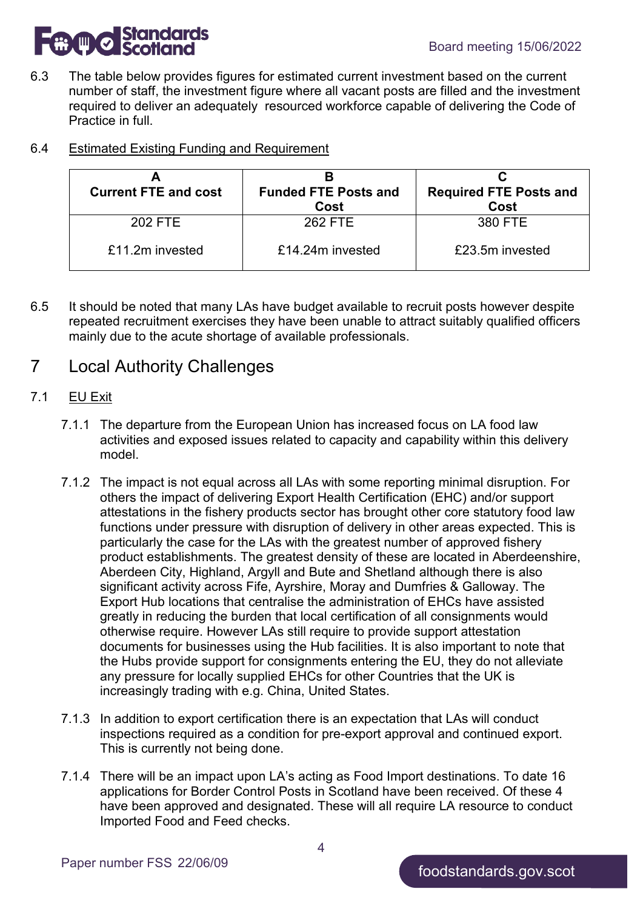

6.3 The table below provides figures for estimated current investment based on the current number of staff, the investment figure where all vacant posts are filled and the investment required to deliver an adequately resourced workforce capable of delivering the Code of Practice in full.

| 6.4 | <b>Estimated Existing Funding and Requirement</b> |  |
|-----|---------------------------------------------------|--|
|     |                                                   |  |

| <b>Current FTE and cost</b> | <b>Funded FTE Posts and</b><br>Cost | <b>Required FTE Posts and</b><br>Cost |  |
|-----------------------------|-------------------------------------|---------------------------------------|--|
| 202 FTE                     | 262 FTE                             | 380 FTE                               |  |
| £11.2m invested             | £14,24m invested                    | £23.5m invested                       |  |

6.5 It should be noted that many LAs have budget available to recruit posts however despite repeated recruitment exercises they have been unable to attract suitably qualified officers mainly due to the acute shortage of available professionals.

### 7 Local Authority Challenges

#### 7.1 EU Exit

- 7.1.1 The departure from the European Union has increased focus on LA food law activities and exposed issues related to capacity and capability within this delivery model.
- 7.1.2 The impact is not equal across all LAs with some reporting minimal disruption. For others the impact of delivering Export Health Certification (EHC) and/or support attestations in the fishery products sector has brought other core statutory food law functions under pressure with disruption of delivery in other areas expected. This is particularly the case for the LAs with the greatest number of approved fishery product establishments. The greatest density of these are located in Aberdeenshire, Aberdeen City, Highland, Argyll and Bute and Shetland although there is also significant activity across Fife, Ayrshire, Moray and Dumfries & Galloway. The Export Hub locations that centralise the administration of EHCs have assisted greatly in reducing the burden that local certification of all consignments would otherwise require. However LAs still require to provide support attestation documents for businesses using the Hub facilities. It is also important to note that the Hubs provide support for consignments entering the EU, they do not alleviate any pressure for locally supplied EHCs for other Countries that the UK is increasingly trading with e.g. China, United States.
- 7.1.3 In addition to export certification there is an expectation that LAs will conduct inspections required as a condition for pre-export approval and continued export. This is currently not being done.
- 7.1.4 There will be an impact upon LA's acting as Food Import destinations. To date 16 applications for Border Control Posts in Scotland have been received. Of these 4 have been approved and designated. These will all require LA resource to conduct Imported Food and Feed checks.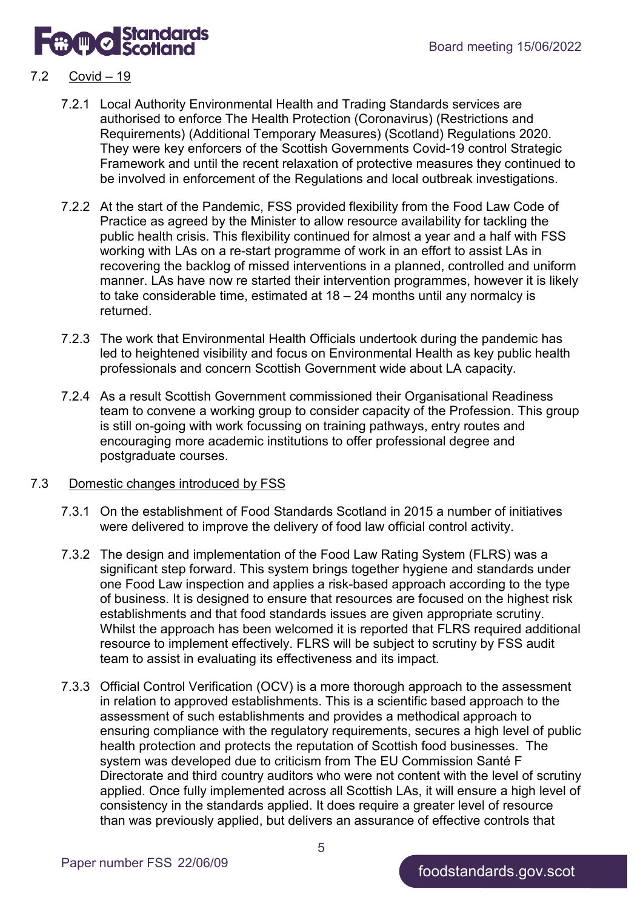

#### 7.2 Covid – 19

- 7.2.1 Local Authority Environmental Health and Trading Standards services are authorised to enforce The Health Protection (Coronavirus) (Restrictions and Requirements) (Additional Temporary Measures) (Scotland) Regulations 2020. They were key enforcers of the Scottish Governments Covid-19 control Strategic Framework and until the recent relaxation of protective measures they continued to be involved in enforcement of the Regulations and local outbreak investigations.
- 7.2.2 At the start of the Pandemic, FSS provided flexibility from the Food Law Code of Practice as agreed by the Minister to allow resource availability for tackling the public health crisis. This flexibility continued for almost a year and a half with FSS working with LAs on a re-start programme of work in an effort to assist LAs in recovering the backlog of missed interventions in a planned, controlled and uniform manner. LAs have now re started their intervention programmes, however it is likely to take considerable time, estimated at 18 – 24 months until any normalcy is returned.
- 7.2.3 The work that Environmental Health Officials undertook during the pandemic has led to heightened visibility and focus on Environmental Health as key public health professionals and concern Scottish Government wide about LA capacity.
- 7.2.4 As a result Scottish Government commissioned their Organisational Readiness team to convene a working group to consider capacity of the Profession. This group is still on-going with work focussing on training pathways, entry routes and encouraging more academic institutions to offer professional degree and postgraduate courses.

#### 7.3 Domestic changes introduced by FSS

- 7.3.1 On the establishment of Food Standards Scotland in 2015 a number of initiatives were delivered to improve the delivery of food law official control activity.
- 7.3.2 The design and implementation of the Food Law Rating System (FLRS) was a significant step forward. This system brings together hygiene and standards under one Food Law inspection and applies a risk-based approach according to the type of business. It is designed to ensure that resources are focused on the highest risk establishments and that food standards issues are given appropriate scrutiny. Whilst the approach has been welcomed it is reported that FLRS required additional resource to implement effectively. FLRS will be subject to scrutiny by FSS audit team to assist in evaluating its effectiveness and its impact.
- 7.3.3 Official Control Verification (OCV) is a more thorough approach to the assessment in relation to approved establishments. This is a scientific based approach to the assessment of such establishments and provides a methodical approach to ensuring compliance with the regulatory requirements, secures a high level of public health protection and protects the reputation of Scottish food businesses. The system was developed due to criticism from The EU Commission Santé F Directorate and third country auditors who were not content with the level of scrutiny applied. Once fully implemented across all Scottish LAs, it will ensure a high level of consistency in the standards applied. It does require a greater level of resource than was previously applied, but delivers an assurance of effective controls that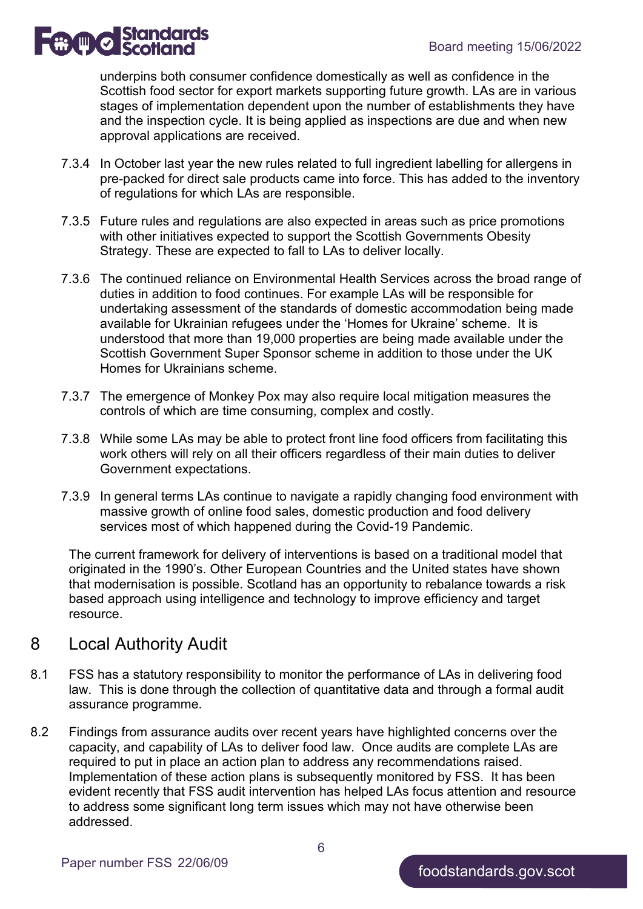

underpins both consumer confidence domestically as well as confidence in the Scottish food sector for export markets supporting future growth. LAs are in various stages of implementation dependent upon the number of establishments they have and the inspection cycle. It is being applied as inspections are due and when new approval applications are received.

- 7.3.4 In October last year the new rules related to full ingredient labelling for allergens in pre-packed for direct sale products came into force. This has added to the inventory of regulations for which LAs are responsible.
- 7.3.5 Future rules and regulations are also expected in areas such as price promotions with other initiatives expected to support the Scottish Governments Obesity Strategy. These are expected to fall to LAs to deliver locally.
- 7.3.6 The continued reliance on Environmental Health Services across the broad range of duties in addition to food continues. For example LAs will be responsible for undertaking assessment of the standards of domestic accommodation being made available for Ukrainian refugees under the 'Homes for Ukraine' scheme. It is understood that more than 19,000 properties are being made available under the Scottish Government Super Sponsor scheme in addition to those under the UK Homes for Ukrainians scheme.
- 7.3.7 The emergence of Monkey Pox may also require local mitigation measures the controls of which are time consuming, complex and costly.
- 7.3.8 While some LAs may be able to protect front line food officers from facilitating this work others will rely on all their officers regardless of their main duties to deliver Government expectations.
- 7.3.9 In general terms LAs continue to navigate a rapidly changing food environment with massive growth of online food sales, domestic production and food delivery services most of which happened during the Covid-19 Pandemic.

The current framework for delivery of interventions is based on a traditional model that originated in the 1990's. Other European Countries and the United states have shown that modernisation is possible. Scotland has an opportunity to rebalance towards a risk based approach using intelligence and technology to improve efficiency and target resource.

### 8 Local Authority Audit

- 8.1 FSS has a statutory responsibility to monitor the performance of LAs in delivering food law. This is done through the collection of quantitative data and through a formal audit assurance programme.
- 8.2 Findings from assurance audits over recent years have highlighted concerns over the capacity, and capability of LAs to deliver food law. Once audits are complete LAs are required to put in place an action plan to address any recommendations raised. Implementation of these action plans is subsequently monitored by FSS. It has been evident recently that FSS audit intervention has helped LAs focus attention and resource to address some significant long term issues which may not have otherwise been addressed.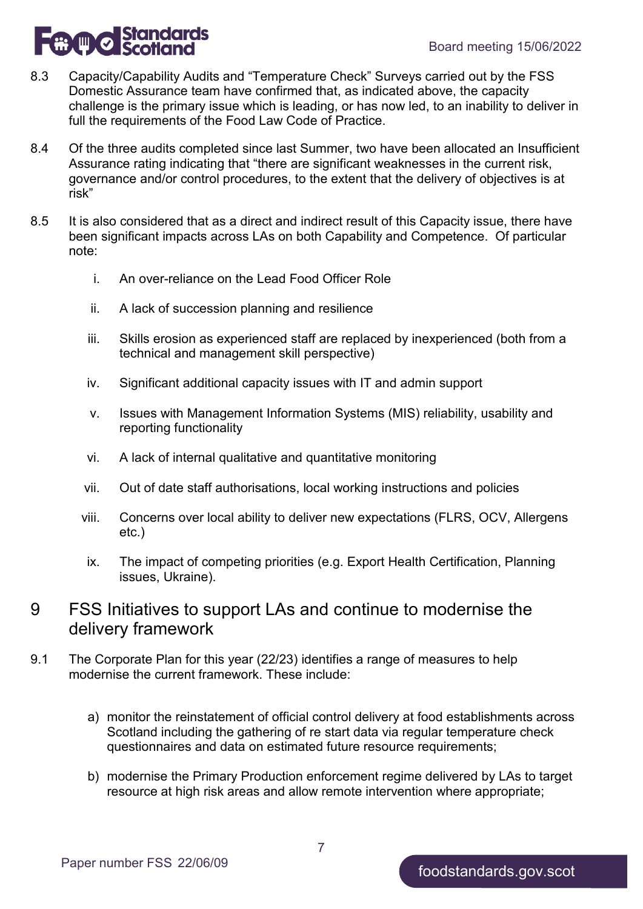

- 8.3 Capacity/Capability Audits and "Temperature Check" Surveys carried out by the FSS Domestic Assurance team have confirmed that, as indicated above, the capacity challenge is the primary issue which is leading, or has now led, to an inability to deliver in full the requirements of the Food Law Code of Practice.
- 8.4 Of the three audits completed since last Summer, two have been allocated an Insufficient Assurance rating indicating that "there are significant weaknesses in the current risk, governance and/or control procedures, to the extent that the delivery of objectives is at risk"
- 8.5 It is also considered that as a direct and indirect result of this Capacity issue, there have been significant impacts across LAs on both Capability and Competence. Of particular note:
	- i. An over-reliance on the Lead Food Officer Role
	- ii. A lack of succession planning and resilience
	- iii. Skills erosion as experienced staff are replaced by inexperienced (both from a technical and management skill perspective)
	- iv. Significant additional capacity issues with IT and admin support
	- v. Issues with Management Information Systems (MIS) reliability, usability and reporting functionality
	- vi. A lack of internal qualitative and quantitative monitoring
	- vii. Out of date staff authorisations, local working instructions and policies
	- viii. Concerns over local ability to deliver new expectations (FLRS, OCV, Allergens etc.)
	- ix. The impact of competing priorities (e.g. Export Health Certification, Planning issues, Ukraine).
- 9 FSS Initiatives to support LAs and continue to modernise the delivery framework
- 9.1 The Corporate Plan for this year (22/23) identifies a range of measures to help modernise the current framework. These include:
	- a) monitor the reinstatement of official control delivery at food establishments across Scotland including the gathering of re start data via regular temperature check questionnaires and data on estimated future resource requirements;
	- b) modernise the Primary Production enforcement regime delivered by LAs to target resource at high risk areas and allow remote intervention where appropriate;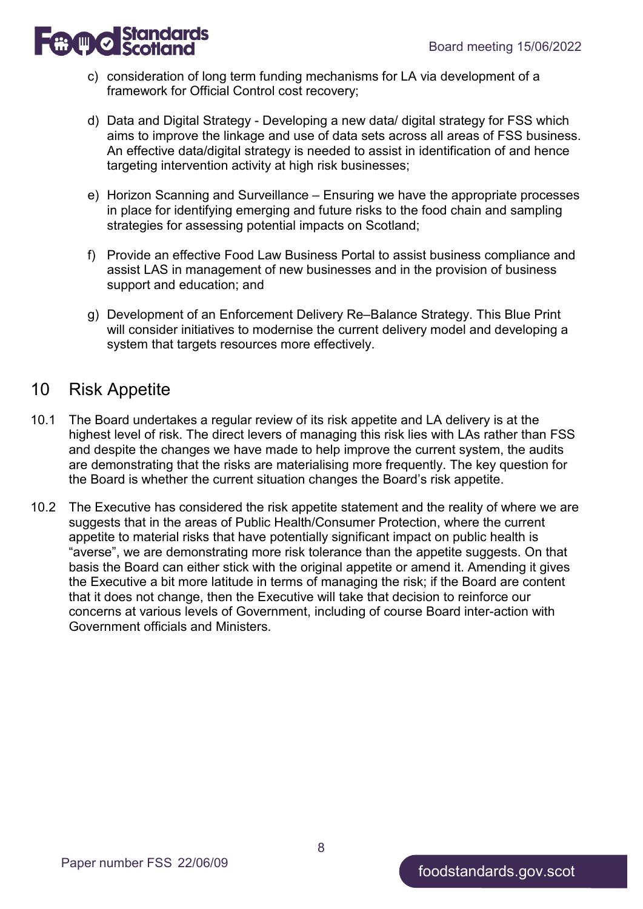

- c) consideration of long term funding mechanisms for LA via development of a framework for Official Control cost recovery;
- d) Data and Digital Strategy Developing a new data/ digital strategy for FSS which aims to improve the linkage and use of data sets across all areas of FSS business. An effective data/digital strategy is needed to assist in identification of and hence targeting intervention activity at high risk businesses;
- e) Horizon Scanning and Surveillance Ensuring we have the appropriate processes in place for identifying emerging and future risks to the food chain and sampling strategies for assessing potential impacts on Scotland;
- f) Provide an effective Food Law Business Portal to assist business compliance and assist LAS in management of new businesses and in the provision of business support and education; and
- g) Development of an Enforcement Delivery Re–Balance Strategy. This Blue Print will consider initiatives to modernise the current delivery model and developing a system that targets resources more effectively.

### 10 Risk Appetite

- 10.1 The Board undertakes a regular review of its risk appetite and LA delivery is at the highest level of risk. The direct levers of managing this risk lies with LAs rather than FSS and despite the changes we have made to help improve the current system, the audits are demonstrating that the risks are materialising more frequently. The key question for the Board is whether the current situation changes the Board's risk appetite.
- 10.2 The Executive has considered the risk appetite statement and the reality of where we are suggests that in the areas of Public Health/Consumer Protection, where the current appetite to material risks that have potentially significant impact on public health is "averse", we are demonstrating more risk tolerance than the appetite suggests. On that basis the Board can either stick with the original appetite or amend it. Amending it gives the Executive a bit more latitude in terms of managing the risk; if the Board are content that it does not change, then the Executive will take that decision to reinforce our concerns at various levels of Government, including of course Board inter-action with Government officials and Ministers.

8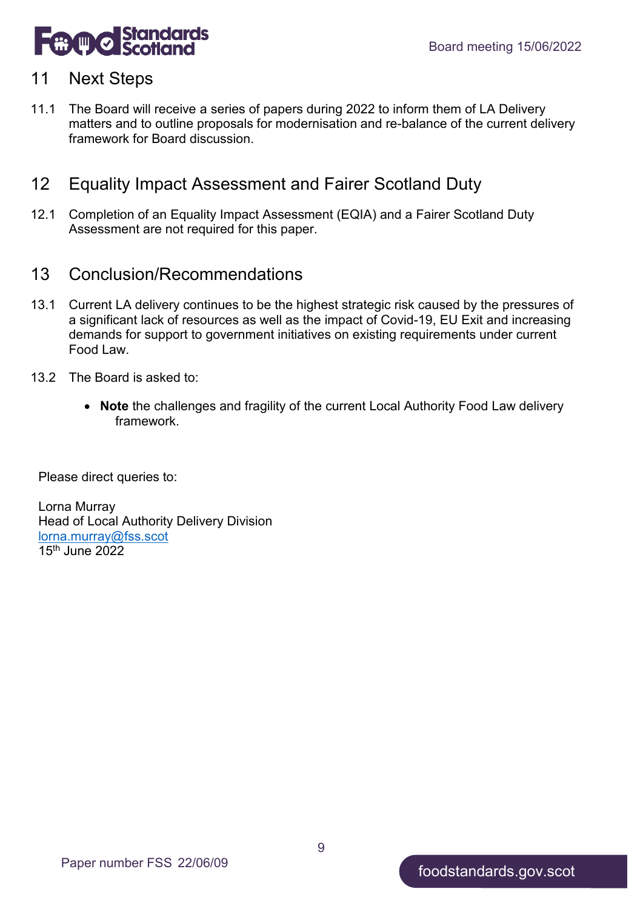

### 11 Next Steps

11.1 The Board will receive a series of papers during 2022 to inform them of LA Delivery matters and to outline proposals for modernisation and re-balance of the current delivery framework for Board discussion.

# 12 Equality Impact Assessment and Fairer Scotland Duty

12.1 Completion of an Equality Impact Assessment (EQIA) and a Fairer Scotland Duty Assessment are not required for this paper.

### 13 Conclusion/Recommendations

- 13.1 Current LA delivery continues to be the highest strategic risk caused by the pressures of a significant lack of resources as well as the impact of Covid-19, EU Exit and increasing demands for support to government initiatives on existing requirements under current Food Law.
- 13.2 The Board is asked to:
	- **Note** the challenges and fragility of the current Local Authority Food Law delivery framework.

Please direct queries to:

Lorna Murray Head of Local Authority Delivery Division [lorna.murray@fss.scot](mailto:lorna.murray@fss.scot) 15th June 2022

9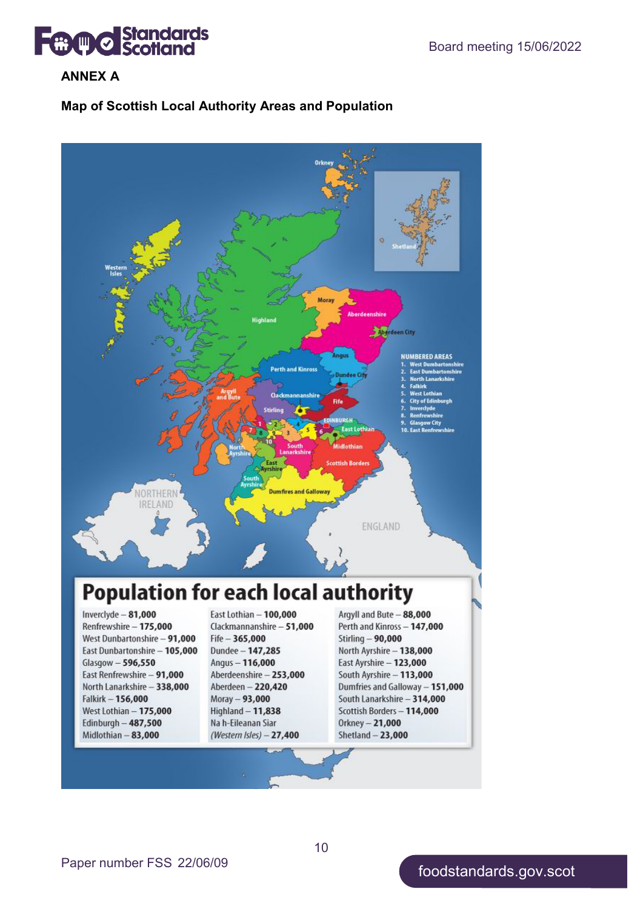**Board meeting 15/06/2022**<br>Board meeting 15/06/2022

#### **ANNEX A**

#### **Map of Scottish Local Authority Areas and Population**



10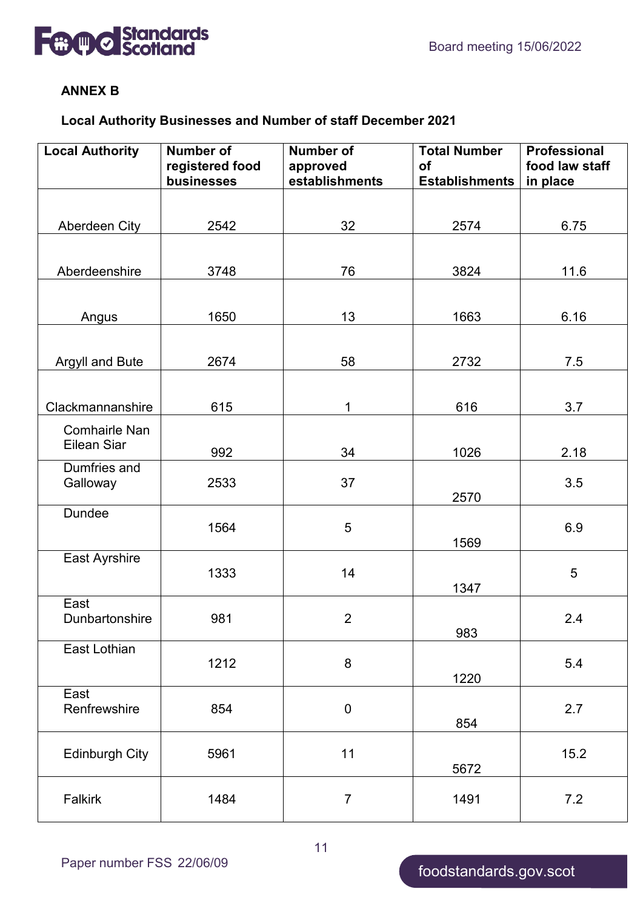



#### **ANNEX B**

### **Local Authority Businesses and Number of staff December 2021**

| <b>Local Authority</b>              | <b>Number of</b><br>registered food | <b>Number of</b><br>approved | <b>Total Number</b><br><b>of</b> | <b>Professional</b><br>food law staff |  |
|-------------------------------------|-------------------------------------|------------------------------|----------------------------------|---------------------------------------|--|
|                                     | businesses                          | establishments               | <b>Establishments</b>            | in place                              |  |
|                                     |                                     |                              |                                  |                                       |  |
| Aberdeen City                       | 2542                                | 32                           | 2574                             | 6.75                                  |  |
|                                     |                                     |                              |                                  |                                       |  |
| Aberdeenshire                       | 3748                                | 76                           | 3824                             | 11.6                                  |  |
|                                     |                                     |                              |                                  |                                       |  |
| Angus                               | 1650                                | 13                           | 1663                             | 6.16                                  |  |
|                                     |                                     |                              |                                  |                                       |  |
| Argyll and Bute                     | 2674                                | 58                           | 2732                             | 7.5                                   |  |
|                                     |                                     |                              |                                  |                                       |  |
|                                     |                                     |                              |                                  |                                       |  |
| Clackmannanshire                    | 615                                 | 1                            | 616                              | 3.7                                   |  |
| <b>Comhairle Nan</b><br>Eilean Siar |                                     |                              |                                  |                                       |  |
|                                     | 992                                 | 34                           | 1026                             | 2.18                                  |  |
| Dumfries and<br>Galloway            | 2533                                | 37                           |                                  | 3.5                                   |  |
|                                     |                                     |                              | 2570                             |                                       |  |
| Dundee                              |                                     |                              |                                  |                                       |  |
|                                     | 1564                                | 5                            | 1569                             | 6.9                                   |  |
| East Ayrshire                       |                                     |                              |                                  |                                       |  |
|                                     | 1333                                | 14                           |                                  | 5                                     |  |
| East                                |                                     |                              | 1347                             |                                       |  |
| Dunbartonshire                      | 981                                 | $\overline{2}$               |                                  | 2.4                                   |  |
|                                     |                                     |                              | 983                              |                                       |  |
| East Lothian                        | 1212                                | 8                            |                                  | 5.4                                   |  |
|                                     |                                     |                              | 1220                             |                                       |  |
| East<br>Renfrewshire                | 854                                 |                              |                                  | 2.7                                   |  |
|                                     |                                     | $\boldsymbol{0}$             | 854                              |                                       |  |
|                                     |                                     |                              |                                  |                                       |  |
| <b>Edinburgh City</b>               | 5961                                | 11                           | 5672                             | 15.2                                  |  |
|                                     |                                     |                              |                                  |                                       |  |
| Falkirk                             | 1484                                | $\overline{7}$               | 1491                             | 7.2                                   |  |
|                                     |                                     |                              |                                  |                                       |  |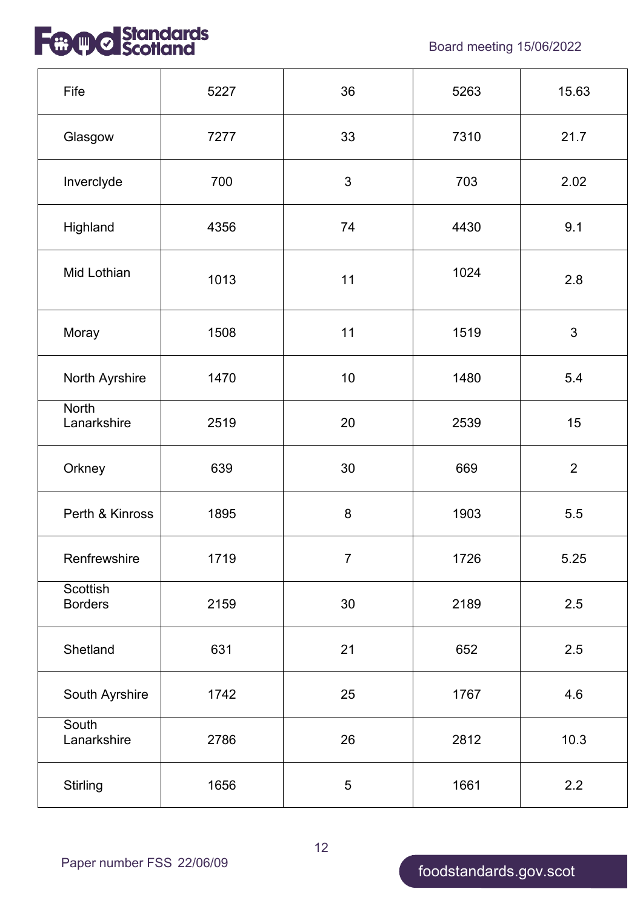

| Fife                        | 5227 | 36             | 5263 | 15.63          |
|-----------------------------|------|----------------|------|----------------|
| Glasgow                     | 7277 | 33             | 7310 | 21.7           |
| Inverclyde                  | 700  | 3              | 703  | 2.02           |
| Highland                    | 4356 | 74             | 4430 | 9.1            |
| Mid Lothian                 | 1013 | 11             | 1024 | 2.8            |
| Moray                       | 1508 | 11             | 1519 | 3              |
| North Ayrshire<br>1470      |      | 10             | 1480 | 5.4            |
| <b>North</b><br>Lanarkshire | 2519 | 20             | 2539 | 15             |
| Orkney                      | 639  | 30             | 669  | $\overline{2}$ |
| Perth & Kinross             | 1895 | 8              | 1903 | 5.5            |
| Renfrewshire                | 1719 | $\overline{7}$ | 1726 | 5.25           |
| Scottish<br><b>Borders</b>  | 2159 | 30             | 2189 | 2.5            |
| Shetland                    | 631  | 21             | 652  | 2.5            |
| South Ayrshire              | 1742 | 25             | 1767 | 4.6            |
| South<br>Lanarkshire        | 2786 | 26             | 2812 | 10.3           |
| Stirling                    | 1656 | $\overline{5}$ | 1661 | 2.2            |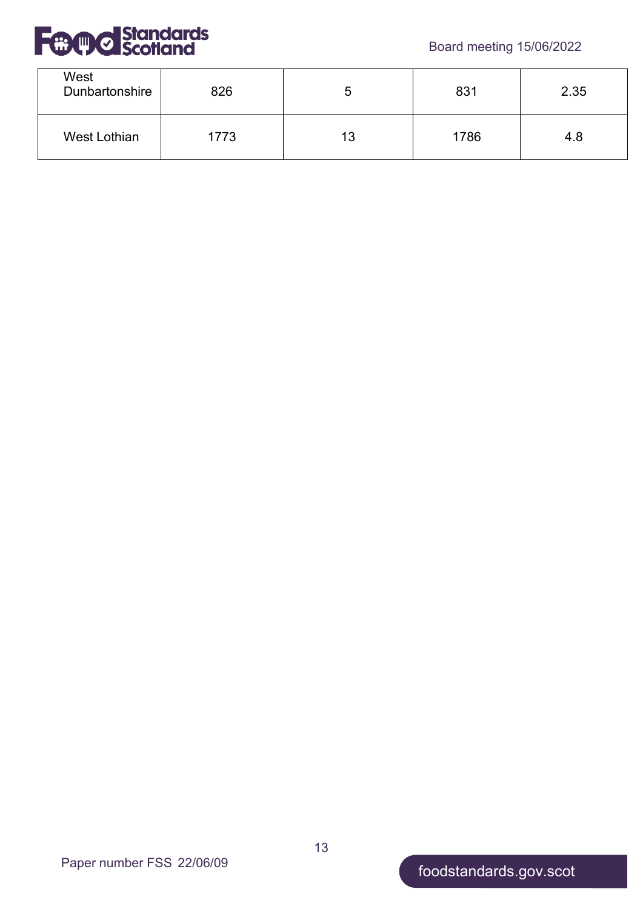



| West<br>Dunbartonshire | 826  |    | 831  | 2.35 |
|------------------------|------|----|------|------|
| West Lothian           | 1773 | 13 | 1786 | 4.8  |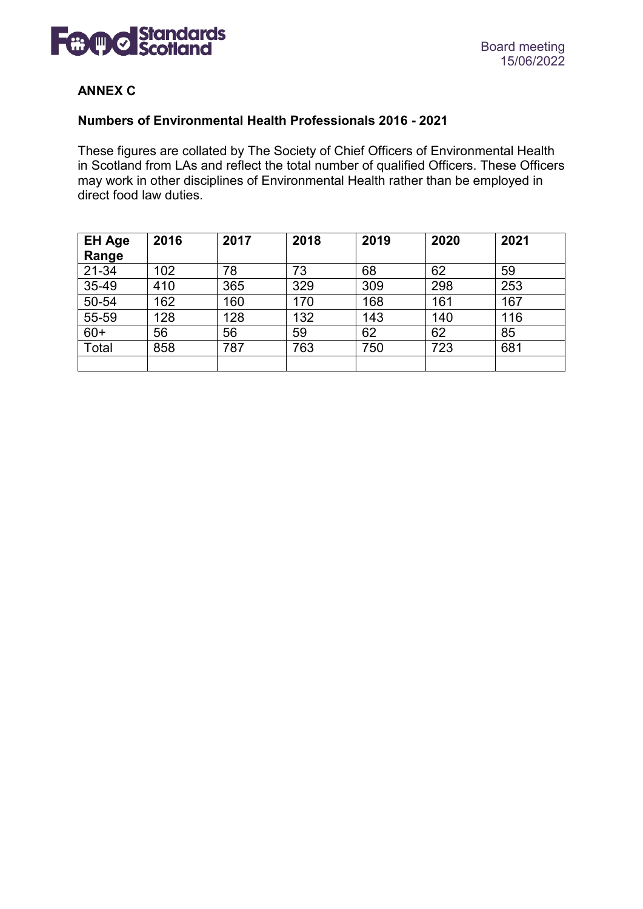

#### **ANNEX C**

#### **Numbers of Environmental Health Professionals 2016 - 2021**

These figures are collated by The Society of Chief Officers of Environmental Health in Scotland from LAs and reflect the total number of qualified Officers. These Officers may work in other disciplines of Environmental Health rather than be employed in direct food law duties.

| <b>EH Age</b><br>Range | 2016 | 2017 | 2018 | 2019 | 2020 | 2021 |
|------------------------|------|------|------|------|------|------|
| 21-34                  | 102  | 78   | 73   | 68   | 62   | 59   |
| 35-49                  | 410  | 365  | 329  | 309  | 298  | 253  |
| $50 - 54$              | 162  | 160  | 170  | 168  | 161  | 167  |
| 55-59                  | 128  | 128  | 132  | 143  | 140  | 116  |
| $60+$                  | 56   | 56   | 59   | 62   | 62   | 85   |
| Total                  | 858  | 787  | 763  | 750  | 723  | 681  |
|                        |      |      |      |      |      |      |